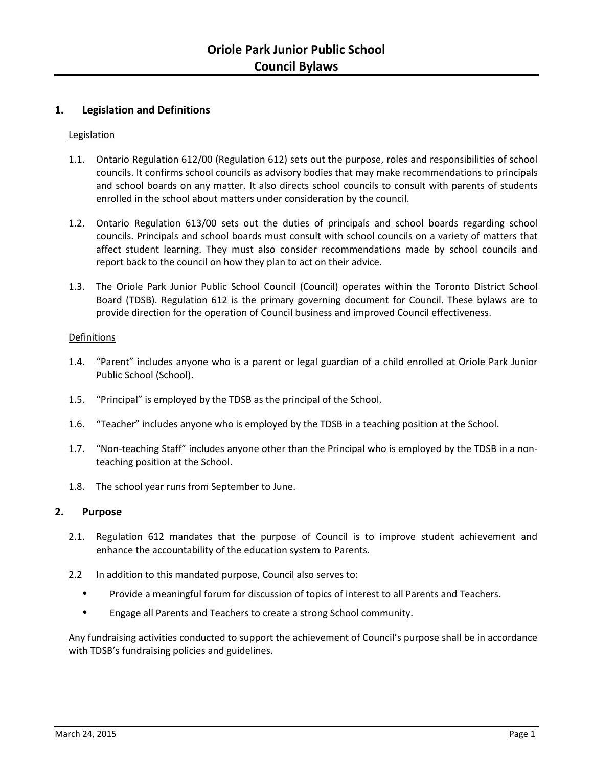# **1. Legislation and Definitions**

## Legislation

- 1.1. Ontario Regulation 612/00 (Regulation 612) sets out the purpose, roles and responsibilities of school councils. It confirms school councils as advisory bodies that may make recommendations to principals and school boards on any matter. It also directs school councils to consult with parents of students enrolled in the school about matters under consideration by the council.
- 1.2. Ontario Regulation 613/00 sets out the duties of principals and school boards regarding school councils. Principals and school boards must consult with school councils on a variety of matters that affect student learning. They must also consider recommendations made by school councils and report back to the council on how they plan to act on their advice.
- 1.3. The Oriole Park Junior Public School Council (Council) operates within the Toronto District School Board (TDSB). Regulation 612 is the primary governing document for Council. These bylaws are to provide direction for the operation of Council business and improved Council effectiveness.

## Definitions

- 1.4. "Parent" includes anyone who is a parent or legal guardian of a child enrolled at Oriole Park Junior Public School (School).
- 1.5. "Principal" is employed by the TDSB as the principal of the School.
- 1.6. "Teacher" includes anyone who is employed by the TDSB in a teaching position at the School.
- 1.7. "Non-teaching Staff" includes anyone other than the Principal who is employed by the TDSB in a nonteaching position at the School.
- 1.8. The school year runs from September to June.

## **2. Purpose**

- 2.1. Regulation 612 mandates that the purpose of Council is to improve student achievement and enhance the accountability of the education system to Parents.
- 2.2 In addition to this mandated purpose, Council also serves to:
	- Provide a meaningful forum for discussion of topics of interest to all Parents and Teachers.
	- Engage all Parents and Teachers to create a strong School community.

Any fundraising activities conducted to support the achievement of Council's purpose shall be in accordance with TDSB's fundraising policies and guidelines.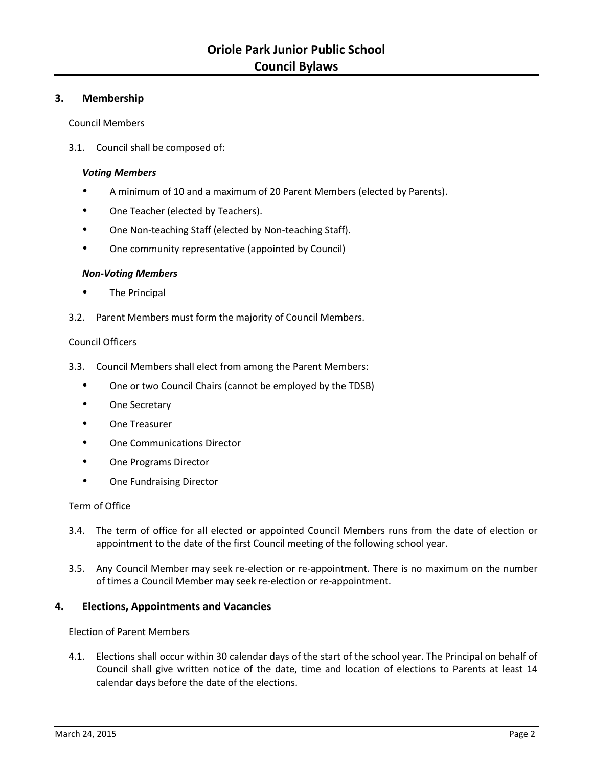# **3. Membership**

### Council Members

3.1. Council shall be composed of:

## *Voting Members*

- A minimum of 10 and a maximum of 20 Parent Members (elected by Parents).
- One Teacher (elected by Teachers).
- One Non-teaching Staff (elected by Non-teaching Staff).
- One community representative (appointed by Council)

### *Non-Voting Members*

- The Principal
- 3.2. Parent Members must form the majority of Council Members.

### Council Officers

- 3.3. Council Members shall elect from among the Parent Members:
	- One or two Council Chairs (cannot be employed by the TDSB)
	- One Secretary
	- One Treasurer
	- One Communications Director
	- One Programs Director
	- One Fundraising Director

## Term of Office

- 3.4. The term of office for all elected or appointed Council Members runs from the date of election or appointment to the date of the first Council meeting of the following school year.
- 3.5. Any Council Member may seek re-election or re-appointment. There is no maximum on the number of times a Council Member may seek re-election or re-appointment.

## **4. Elections, Appointments and Vacancies**

#### Election of Parent Members

4.1. Elections shall occur within 30 calendar days of the start of the school year. The Principal on behalf of Council shall give written notice of the date, time and location of elections to Parents at least 14 calendar days before the date of the elections.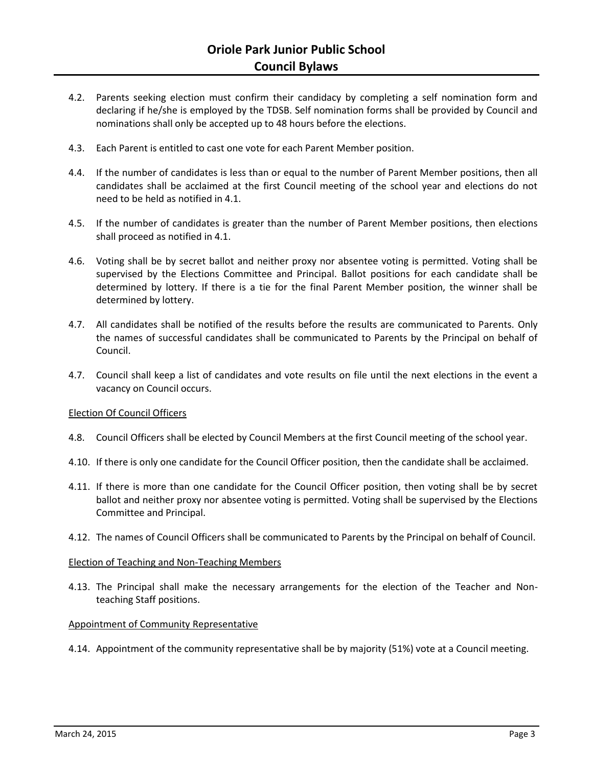- 4.2. Parents seeking election must confirm their candidacy by completing a self nomination form and declaring if he/she is employed by the TDSB. Self nomination forms shall be provided by Council and nominations shall only be accepted up to 48 hours before the elections.
- 4.3. Each Parent is entitled to cast one vote for each Parent Member position.
- 4.4. If the number of candidates is less than or equal to the number of Parent Member positions, then all candidates shall be acclaimed at the first Council meeting of the school year and elections do not need to be held as notified in 4.1.
- 4.5. If the number of candidates is greater than the number of Parent Member positions, then elections shall proceed as notified in 4.1.
- 4.6. Voting shall be by secret ballot and neither proxy nor absentee voting is permitted. Voting shall be supervised by the Elections Committee and Principal. Ballot positions for each candidate shall be determined by lottery. If there is a tie for the final Parent Member position, the winner shall be determined by lottery.
- 4.7. All candidates shall be notified of the results before the results are communicated to Parents. Only the names of successful candidates shall be communicated to Parents by the Principal on behalf of Council.
- 4.7. Council shall keep a list of candidates and vote results on file until the next elections in the event a vacancy on Council occurs.

## Election Of Council Officers

- 4.8. Council Officers shall be elected by Council Members at the first Council meeting of the school year.
- 4.10. If there is only one candidate for the Council Officer position, then the candidate shall be acclaimed.
- 4.11. If there is more than one candidate for the Council Officer position, then voting shall be by secret ballot and neither proxy nor absentee voting is permitted. Voting shall be supervised by the Elections Committee and Principal.
- 4.12. The names of Council Officers shall be communicated to Parents by the Principal on behalf of Council.

#### Election of Teaching and Non-Teaching Members

4.13. The Principal shall make the necessary arrangements for the election of the Teacher and Nonteaching Staff positions.

#### Appointment of Community Representative

4.14. Appointment of the community representative shall be by majority (51%) vote at a Council meeting.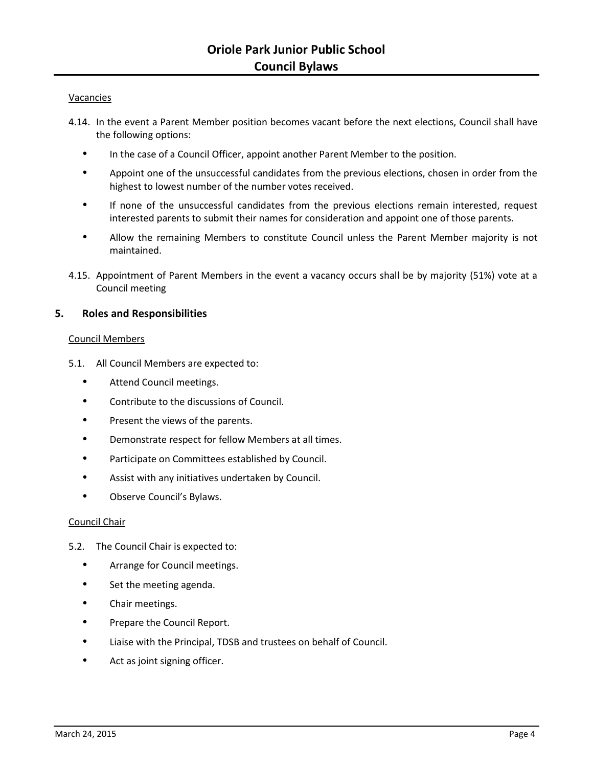### Vacancies

- 4.14. In the event a Parent Member position becomes vacant before the next elections, Council shall have the following options:
	- In the case of a Council Officer, appoint another Parent Member to the position.
	- Appoint one of the unsuccessful candidates from the previous elections, chosen in order from the highest to lowest number of the number votes received.
	- If none of the unsuccessful candidates from the previous elections remain interested, request interested parents to submit their names for consideration and appoint one of those parents.
	- Allow the remaining Members to constitute Council unless the Parent Member majority is not maintained.
- 4.15. Appointment of Parent Members in the event a vacancy occurs shall be by majority (51%) vote at a Council meeting

## **5. Roles and Responsibilities**

### Council Members

- 5.1. All Council Members are expected to:
	- Attend Council meetings.
	- Contribute to the discussions of Council.
	- Present the views of the parents.
	- Demonstrate respect for fellow Members at all times.
	- Participate on Committees established by Council.
	- Assist with any initiatives undertaken by Council.
	- Observe Council's Bylaws.

## Council Chair

- 5.2. The Council Chair is expected to:
	- Arrange for Council meetings.
	- Set the meeting agenda.
	- Chair meetings.
	- Prepare the Council Report.
	- Liaise with the Principal, TDSB and trustees on behalf of Council.
	- Act as joint signing officer.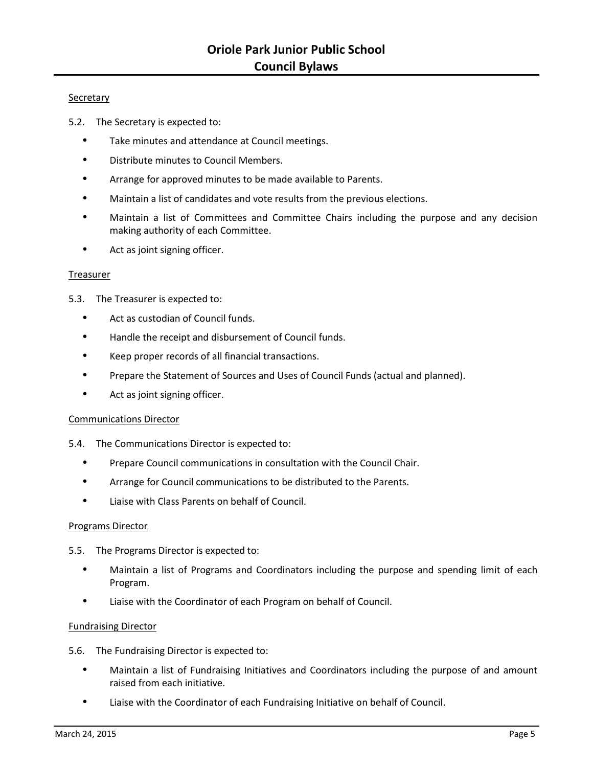### Secretary

- 5.2. The Secretary is expected to:
	- Take minutes and attendance at Council meetings.
	- Distribute minutes to Council Members.
	- Arrange for approved minutes to be made available to Parents.
	- Maintain a list of candidates and vote results from the previous elections.
	- Maintain a list of Committees and Committee Chairs including the purpose and any decision making authority of each Committee.
	- Act as joint signing officer.

#### Treasurer

- 5.3. The Treasurer is expected to:
	- Act as custodian of Council funds.
	- Handle the receipt and disbursement of Council funds.
	- Keep proper records of all financial transactions.
	- Prepare the Statement of Sources and Uses of Council Funds (actual and planned).
	- Act as joint signing officer.

## Communications Director

5.4. The Communications Director is expected to:

- Prepare Council communications in consultation with the Council Chair.
- Arrange for Council communications to be distributed to the Parents.
- Liaise with Class Parents on behalf of Council.

## Programs Director

- 5.5. The Programs Director is expected to:
	- Maintain a list of Programs and Coordinators including the purpose and spending limit of each Program.
	- Liaise with the Coordinator of each Program on behalf of Council.

## Fundraising Director

- 5.6. The Fundraising Director is expected to:
	- Maintain a list of Fundraising Initiatives and Coordinators including the purpose of and amount raised from each initiative.
	- Liaise with the Coordinator of each Fundraising Initiative on behalf of Council.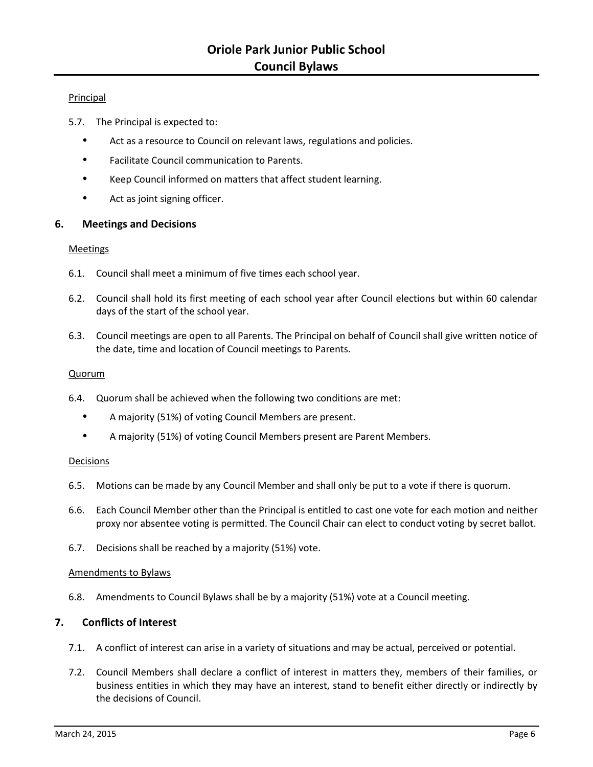## Principal

- 5.7. The Principal is expected to:
	- Act as a resource to Council on relevant laws, regulations and policies.
	- Facilitate Council communication to Parents.
	- Keep Council informed on matters that affect student learning.
	- Act as joint signing officer.

## **6. Meetings and Decisions**

### Meetings

- 6.1. Council shall meet a minimum of five times each school year.
- 6.2. Council shall hold its first meeting of each school year after Council elections but within 60 calendar days of the start of the school year.
- 6.3. Council meetings are open to all Parents. The Principal on behalf of Council shall give written notice of the date, time and location of Council meetings to Parents.

## Quorum

- 6.4. Quorum shall be achieved when the following two conditions are met:
	- A majority (51%) of voting Council Members are present.
	- A majority (51%) of voting Council Members present are Parent Members.

## Decisions

- 6.5. Motions can be made by any Council Member and shall only be put to a vote if there is quorum.
- 6.6. Each Council Member other than the Principal is entitled to cast one vote for each motion and neither proxy nor absentee voting is permitted. The Council Chair can elect to conduct voting by secret ballot.
- 6.7. Decisions shall be reached by a majority (51%) vote.

#### Amendments to Bylaws

6.8. Amendments to Council Bylaws shall be by a majority (51%) vote at a Council meeting.

## **7. Conflicts of Interest**

- 7.1. A conflict of interest can arise in a variety of situations and may be actual, perceived or potential.
- 7.2. Council Members shall declare a conflict of interest in matters they, members of their families, or business entities in which they may have an interest, stand to benefit either directly or indirectly by the decisions of Council.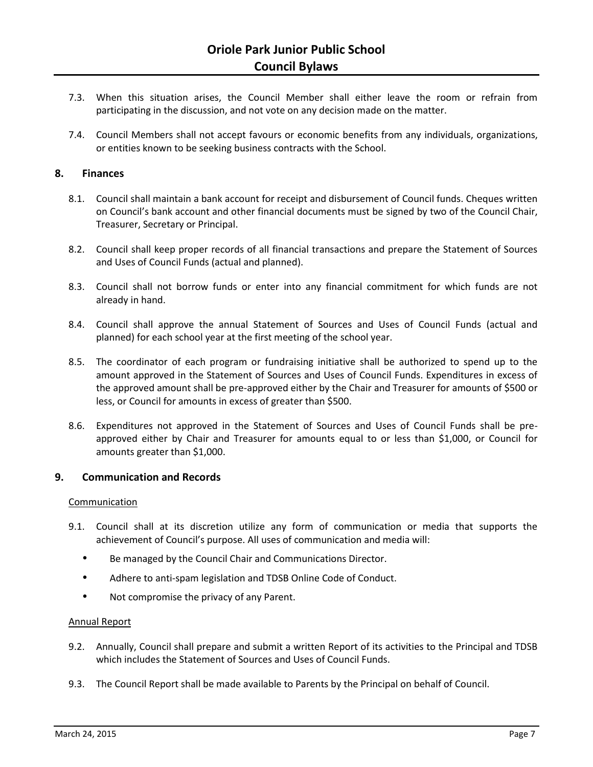- 7.3. When this situation arises, the Council Member shall either leave the room or refrain from participating in the discussion, and not vote on any decision made on the matter.
- 7.4. Council Members shall not accept favours or economic benefits from any individuals, organizations, or entities known to be seeking business contracts with the School.

## **8. Finances**

- 8.1. Council shall maintain a bank account for receipt and disbursement of Council funds. Cheques written on Council's bank account and other financial documents must be signed by two of the Council Chair, Treasurer, Secretary or Principal.
- 8.2. Council shall keep proper records of all financial transactions and prepare the Statement of Sources and Uses of Council Funds (actual and planned).
- 8.3. Council shall not borrow funds or enter into any financial commitment for which funds are not already in hand.
- 8.4. Council shall approve the annual Statement of Sources and Uses of Council Funds (actual and planned) for each school year at the first meeting of the school year.
- 8.5. The coordinator of each program or fundraising initiative shall be authorized to spend up to the amount approved in the Statement of Sources and Uses of Council Funds. Expenditures in excess of the approved amount shall be pre-approved either by the Chair and Treasurer for amounts of \$500 or less, or Council for amounts in excess of greater than \$500.
- 8.6. Expenditures not approved in the Statement of Sources and Uses of Council Funds shall be preapproved either by Chair and Treasurer for amounts equal to or less than \$1,000, or Council for amounts greater than \$1,000.

## **9. Communication and Records**

#### Communication

- 9.1. Council shall at its discretion utilize any form of communication or media that supports the achievement of Council's purpose. All uses of communication and media will:
	- Be managed by the Council Chair and Communications Director.
	- Adhere to anti-spam legislation and TDSB Online Code of Conduct.
	- Not compromise the privacy of any Parent.

## Annual Report

- 9.2. Annually, Council shall prepare and submit a written Report of its activities to the Principal and TDSB which includes the Statement of Sources and Uses of Council Funds.
- 9.3. The Council Report shall be made available to Parents by the Principal on behalf of Council.